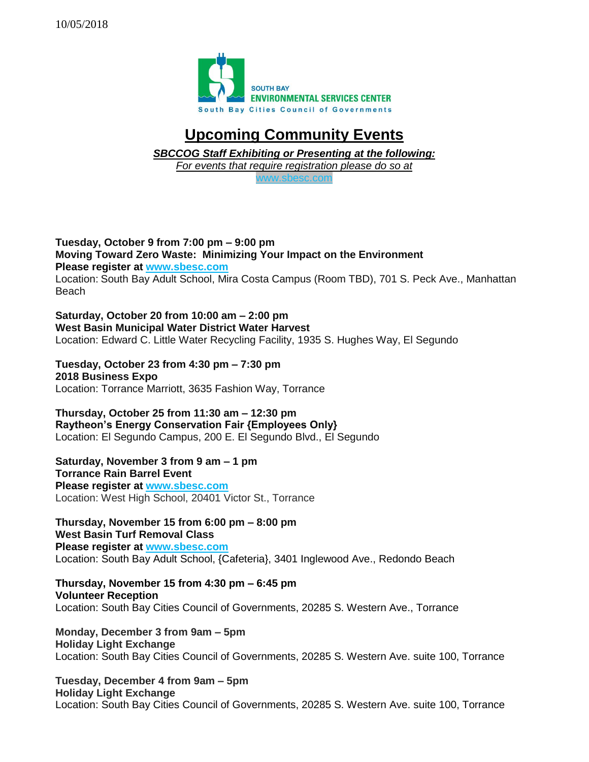

## **Upcoming Community Events**

*SBCCOG Staff Exhibiting or Presenting at the following:*

*For events that require registration please do so at* 

[www.sbesc.com](http://www.sbesc.com/)

**Tuesday, October 9 from 7:00 pm – 9:00 pm Moving Toward Zero Waste: Minimizing Your Impact on the Environment Please register at [www.sbesc.com](http://www.sbesc.com/)** Location: South Bay Adult School, Mira Costa Campus (Room TBD), 701 S. Peck Ave., Manhattan Beach

**Saturday, October 20 from 10:00 am – 2:00 pm West Basin Municipal Water District Water Harvest** Location: Edward C. Little Water Recycling Facility, 1935 S. Hughes Way, El Segundo

**Tuesday, October 23 from 4:30 pm – 7:30 pm 2018 Business Expo** Location: Torrance Marriott, 3635 Fashion Way, Torrance

**Thursday, October 25 from 11:30 am – 12:30 pm Raytheon's Energy Conservation Fair {Employees Only}** Location: El Segundo Campus, 200 E. El Segundo Blvd., El Segundo

**Saturday, November 3 from 9 am – 1 pm Torrance Rain Barrel Event Please register at [www.sbesc.com](http://www.sbesc.com/)** Location: West High School, 20401 Victor St., Torrance

**Thursday, November 15 from 6:00 pm – 8:00 pm West Basin Turf Removal Class Please register at [www.sbesc.com](http://www.sbesc.com/)** Location: South Bay Adult School, {Cafeteria}, 3401 Inglewood Ave., Redondo Beach

**Thursday, November 15 from 4:30 pm – 6:45 pm Volunteer Reception** Location: South Bay Cities Council of Governments, 20285 S. Western Ave., Torrance

**Monday, December 3 from 9am – 5pm Holiday Light Exchange** Location: South Bay Cities Council of Governments, 20285 S. Western Ave. suite 100, Torrance

**Tuesday, December 4 from 9am – 5pm Holiday Light Exchange** Location: South Bay Cities Council of Governments, 20285 S. Western Ave. suite 100, Torrance